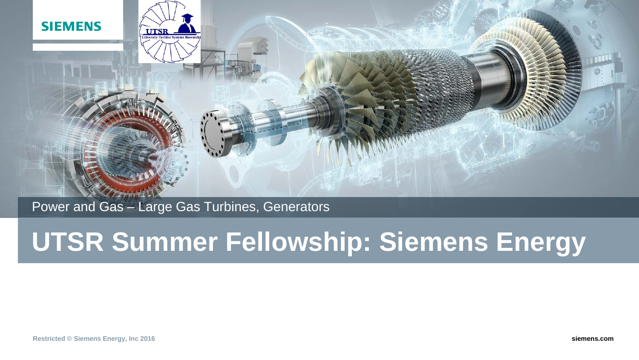



## Power and Gas – Large Gas Turbines, Generators

# **UTSR Summer Fellowship: Siemens Energy**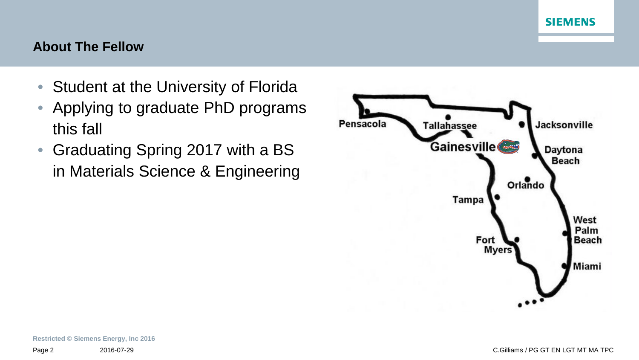#### **About The Fellow**

- Student at the University of Florida
- Applying to graduate PhD programs this fall
- Graduating Spring 2017 with a BS in Materials Science & Engineering

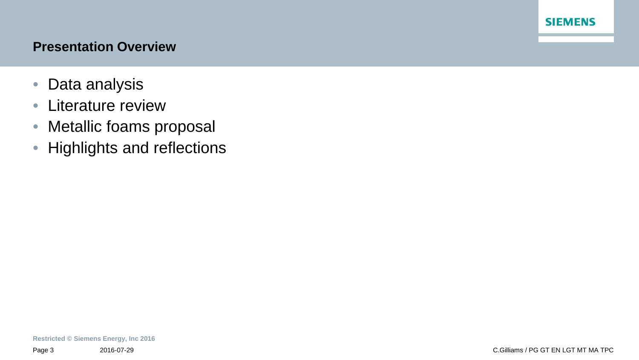#### **Presentation Overview**

- Data analysis
- Literature review
- Metallic foams proposal
- Highlights and reflections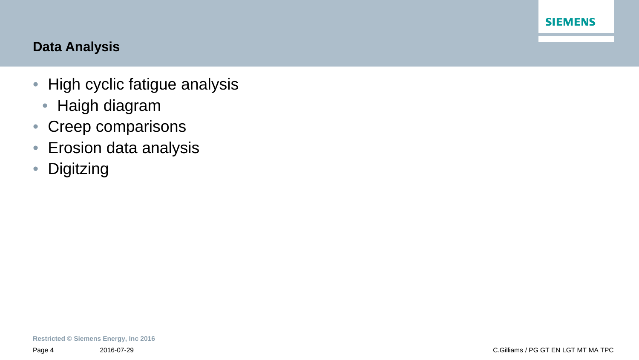## **Data Analysis**

- High cyclic fatigue analysis
	- Haigh diagram
- Creep comparisons
- Erosion data analysis
- Digitzing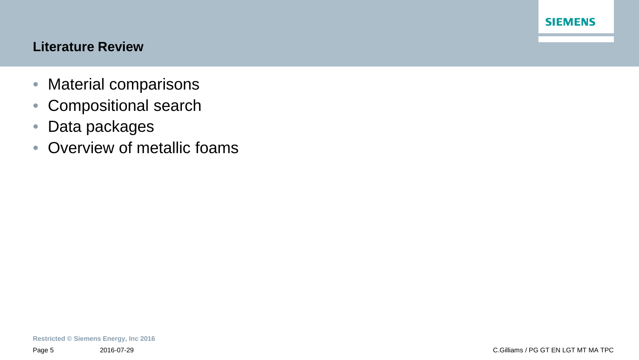### **Literature Review**

- Material comparisons
- Compositional search
- Data packages
- Overview of metallic foams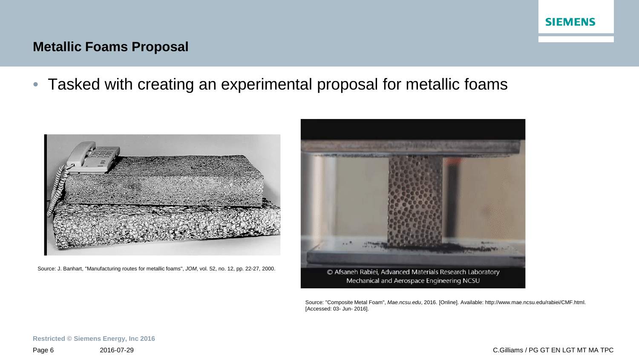### **Metallic Foams Proposal**

• Tasked with creating an experimental proposal for metallic foams



Source: J. Banhart, "Manufacturing routes for metallic foams", *JOM*, vol. 52, no. 12, pp. 22-27, 2000.



Source: "Composite Metal Foam", *Mae.ncsu.edu*, 2016. [Online]. Available: http://www.mae.ncsu.edu/rabiei/CMF.html. [Accessed: 03- Jun- 2016].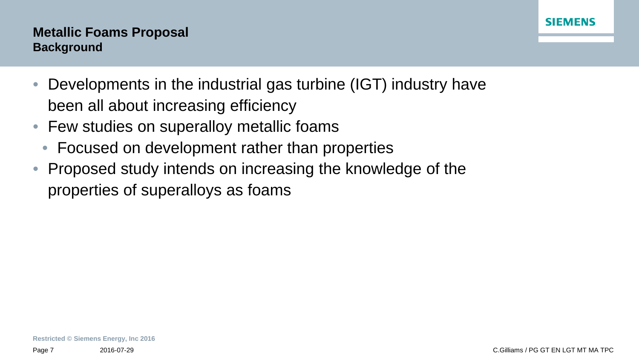## **Metallic Foams Proposal Background**

- Developments in the industrial gas turbine (IGT) industry have been all about increasing efficiency
- Few studies on superalloy metallic foams
	- Focused on development rather than properties
- Proposed study intends on increasing the knowledge of the properties of superalloys as foams

**SIEMENS**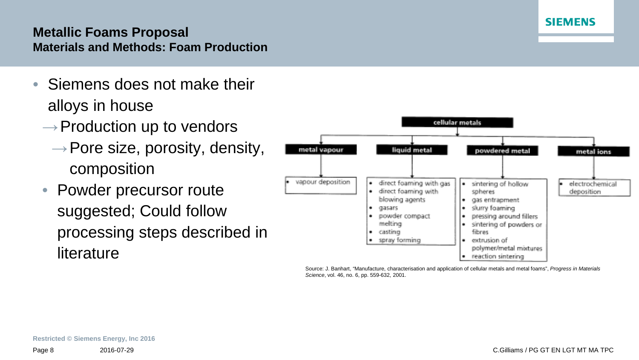### **Metallic Foams Proposal Materials and Methods: Foam Production**

- Siemens does not make their alloys in house
	- $\rightarrow$  Production up to vendors
		- $\rightarrow$  Pore size, porosity, density, composition
	- Powder precursor route suggested; Could follow processing steps described in literature



Source: J. Banhart, "Manufacture, characterisation and application of cellular metals and metal foams", *Progress in Materials Science*, vol. 46, no. 6, pp. 559-632, 2001.

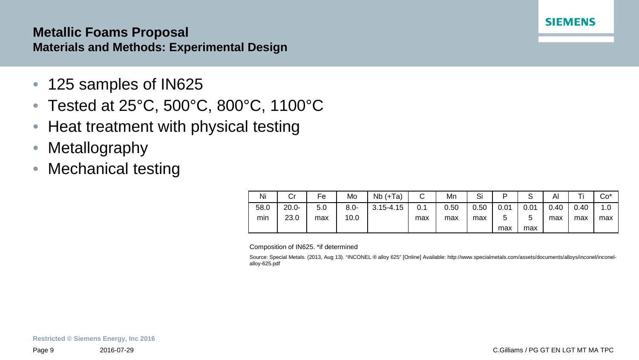#### **Metallic Foams Proposal Materials and Methods: Experimental Design**

- 125 samples of IN625
- Tested at 25°C, 500°C, 800°C, 1100°C
- Heat treatment with physical testing
- Metallography
- Mechanical testing

| Ni   | Cr       | Fe  | Mo      | $Nb (+Ta)$    | $\sim$<br>ັ | Mn   | Si   | D      | ت    | Al   | ÷    | $Co*$ |
|------|----------|-----|---------|---------------|-------------|------|------|--------|------|------|------|-------|
| 58.0 | $20.0 -$ | 5.0 | $8.0 -$ | $3.15 - 4.15$ | 0.1         | 0.50 | 0.50 | 0.01   | 0.01 | 0.40 | 0.40 | 1.0   |
| min  | 23.0     | max | 10.0    |               | max         | max  | max  | ς<br>J | C    | max  | max  | max   |
|      |          |     |         |               |             |      |      | max    | max  |      |      |       |

Composition of IN625. \*if determined

Source: Special Metals. (2013, Aug 13). "INCONEL ® alloy 625" [Online] Available: http://www.specialmetals.com/assets/documents/alloys/inconel/inconelalloy-625.pdf

**SIEMENS**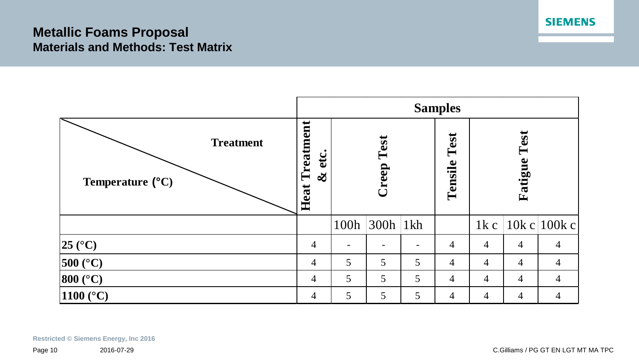### **Metallic Foams Proposal Materials and Methods: Test Matrix**



**Restricted © Siemens Energy, Inc 2016**

**SIEMENS**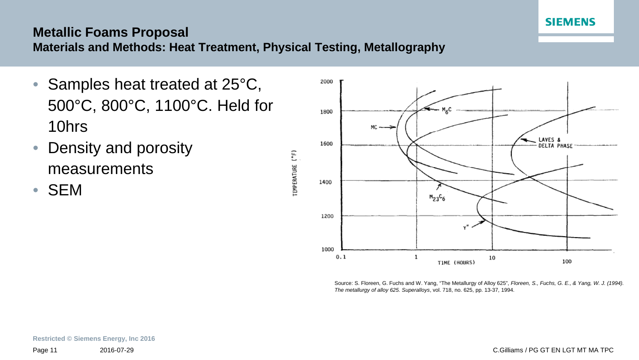

## **Metallic Foams Proposal**

**Materials and Methods: Heat Treatment, Physical Testing, Metallography**

- Samples heat treated at 25°C, 500°C, 800°C, 1100°C. Held for 10hrs
- Density and porosity measurements
- SEM



Source: S. Floreen, G. Fuchs and W. Yang, "The Metallurgy of Alloy 625", *Floreen, S., Fuchs, G. E., & Yang, W. J. (1994). The metallurgy of alloy 625. Superalloys*, vol. 718, no. 625, pp. 13-37, 1994.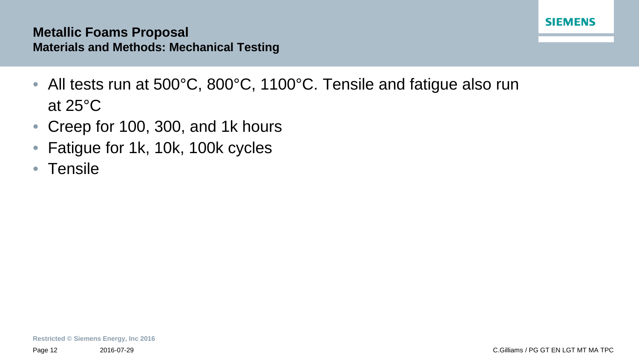#### **Metallic Foams Proposal Materials and Methods: Mechanical Testing**

- All tests run at 500°C, 800°C, 1100°C. Tensile and fatigue also run at 25°C
- Creep for 100, 300, and 1k hours
- Fatigue for 1k, 10k, 100k cycles
- Tensile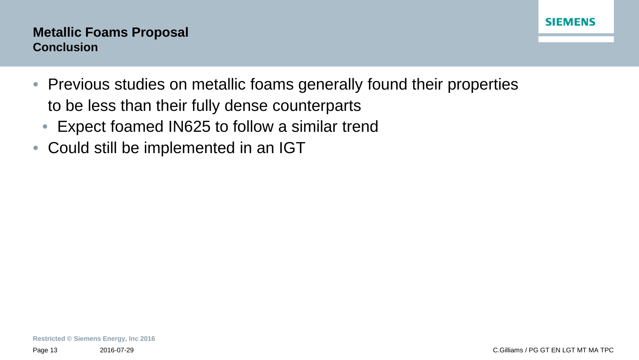### **Metallic Foams Proposal Conclusion**

- Previous studies on metallic foams generally found their properties to be less than their fully dense counterparts
	- Expect foamed IN625 to follow a similar trend
- Could still be implemented in an IGT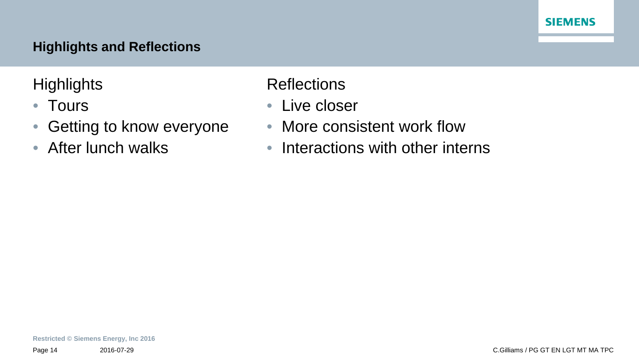## **Highlights and Reflections**

**Highlights** 

- Tours
- Getting to know everyone
- After lunch walks

**Reflections** 

- Live closer
- More consistent work flow
- Interactions with other interns